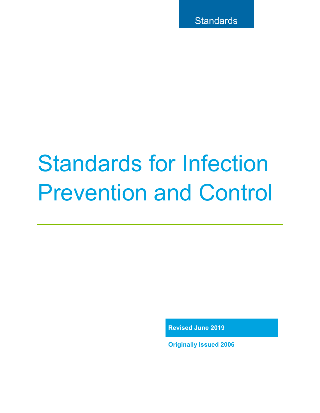# Standards for Infection Prevention and Control

**Revised June 2019** 

**Originally Issued 2006**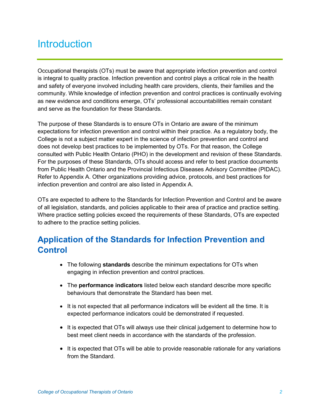# **Introduction**

Occupational therapists (OTs) must be aware that appropriate infection prevention and control is integral to quality practice. Infection prevention and control plays a critical role in the health and safety of everyone involved including health care providers, clients, their families and the community. While knowledge of infection prevention and control practices is continually evolving as new evidence and conditions emerge, OTs' professional accountabilities remain constant and serve as the foundation for these Standards.

The purpose of these Standards is to ensure OTs in Ontario are aware of the minimum expectations for infection prevention and control within their practice. As a regulatory body, the College is not a subject matter expert in the science of infection prevention and control and does not develop best practices to be implemented by OTs. For that reason, the College consulted with Public Health Ontario (PHO) in the development and revision of these Standards. For the purposes of these Standards, OTs should access and refer to best practice documents from Public Health Ontario and the Provincial Infectious Diseases Advisory Committee (PIDAC). Refer to Appendix A. Other organizations providing advice, protocols, and best practices for infection prevention and control are also listed in Appendix A.

OTs are expected to adhere to the Standards for Infection Prevention and Control and be aware of all legislation, standards, and policies applicable to their area of practice and practice setting. Where practice setting policies exceed the requirements of these Standards, OTs are expected to adhere to the practice setting policies.

## **Application of the Standards for Infection Prevention and Control**

- The following **standards** describe the minimum expectations for OTs when engaging in infection prevention and control practices.
- The **performance indicators** listed below each standard describe more specific behaviours that demonstrate the Standard has been met.
- It is not expected that all performance indicators will be evident all the time. It is expected performance indicators could be demonstrated if requested.
- It is expected that OTs will always use their clinical judgement to determine how to best meet client needs in accordance with the standards of the profession.
- It is expected that OTs will be able to provide reasonable rationale for any variations from the Standard.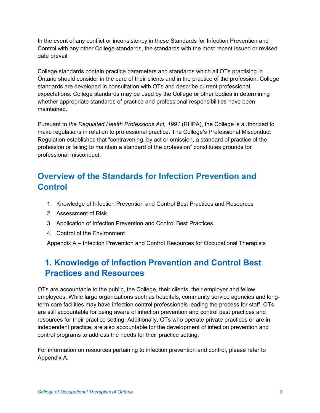In the event of any conflict or inconsistency in these Standards for Infection Prevention and Control with any other College standards, the standards with the most recent issued or revised date prevail.

College standards contain practice parameters and standards which all OTs practising in Ontario should consider in the care of their clients and in the practice of the profession. College standards are developed in consultation with OTs and describe current professional expectations. College standards may be used by the College or other bodies in determining whether appropriate standards of practice and professional responsibilities have been maintained.

Pursuant to *the Regulated Health Professions Act, 1991* (RHPA), the College is authorized to make regulations in relation to professional practice. The College's Professional Misconduct Regulation establishes that "contravening, by act or omission, a standard of practice of the profession or failing to maintain a standard of the profession" constitutes grounds for professional misconduct.

## **Overview of the Standards for Infection Prevention and Control**

- 1. Knowledge of Infection Prevention and Control Best Practices and Resources
- 2. Assessment of Risk
- 3. Application of Infection Prevention and Control Best Practices
- 4. Control of the Environment

Appendix A – Infection Prevention and Control Resources for Occupational Therapists

## **1. Knowledge of Infection Prevention and Control Best Practices and Resources**

OTs are accountable to the public, the College, their clients, their employer and fellow employees. While large organizations such as hospitals, community service agencies and longterm care facilities may have infection control professionals leading the process for staff, OTs are still accountable for being aware of infection prevention and control best practices and resources for their practice setting. Additionally, OTs who operate private practices or are in independent practice, are also accountable for the development of infection prevention and control programs to address the needs for their practice setting.

For information on resources pertaining to infection prevention and control, please refer to Appendix A.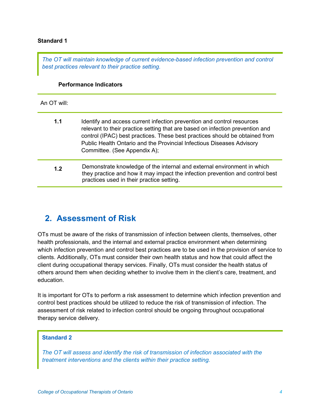#### **Standard 1**

*The OT will maintain knowledge of current evidence-based infection prevention and control best practices relevant to their practice setting.* 

#### **Performance Indicators**

An OT will:

| 1.1 | Identify and access current infection prevention and control resources<br>relevant to their practice setting that are based on infection prevention and<br>control (IPAC) best practices. These best practices should be obtained from<br>Public Health Ontario and the Provincial Infectious Diseases Advisory<br>Committee. (See Appendix A); |
|-----|-------------------------------------------------------------------------------------------------------------------------------------------------------------------------------------------------------------------------------------------------------------------------------------------------------------------------------------------------|
| 1.2 | Demonstrate knowledge of the internal and external environment in which<br>they practice and how it may impact the infection prevention and control best<br>practices used in their practice setting.                                                                                                                                           |

## **2. Assessment of Risk**

OTs must be aware of the risks of transmission of infection between clients, themselves, other health professionals, and the internal and external practice environment when determining which infection prevention and control best practices are to be used in the provision of service to clients. Additionally, OTs must consider their own health status and how that could affect the client during occupational therapy services. Finally, OTs must consider the health status of others around them when deciding whether to involve them in the client's care, treatment, and education.

It is important for OTs to perform a risk assessment to determine which infection prevention and control best practices should be utilized to reduce the risk of transmission of infection. The assessment of risk related to infection control should be ongoing throughout occupational therapy service delivery.

## **Standard 2**

*The OT will assess and identify the risk of transmission of infection associated with the treatment interventions and the clients within their practice setting.*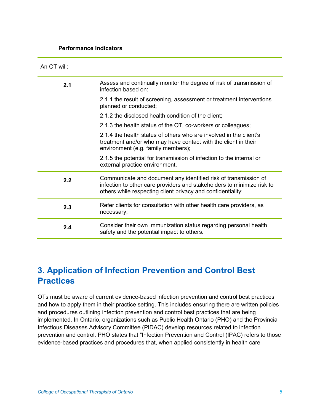#### **Performance Indicators**

| An OT will: |                                                                                                                                                                                                          |
|-------------|----------------------------------------------------------------------------------------------------------------------------------------------------------------------------------------------------------|
| 2.1         | Assess and continually monitor the degree of risk of transmission of<br>infection based on:                                                                                                              |
|             | 2.1.1 the result of screening, assessment or treatment interventions<br>planned or conducted;                                                                                                            |
|             | 2.1.2 the disclosed health condition of the client;                                                                                                                                                      |
|             | 2.1.3 the health status of the OT, co-workers or colleagues;                                                                                                                                             |
|             | 2.1.4 the health status of others who are involved in the client's<br>treatment and/or who may have contact with the client in their<br>environment (e.g. family members);                               |
|             | 2.1.5 the potential for transmission of infection to the internal or<br>external practice environment.                                                                                                   |
| 2.2         | Communicate and document any identified risk of transmission of<br>infection to other care providers and stakeholders to minimize risk to<br>others while respecting client privacy and confidentiality; |
| 2.3         | Refer clients for consultation with other health care providers, as<br>necessary;                                                                                                                        |
| 2.4         | Consider their own immunization status regarding personal health<br>safety and the potential impact to others.                                                                                           |

## **3. Application of Infection Prevention and Control Best Practices**

OTs must be aware of current evidence-based infection prevention and control best practices and how to apply them in their practice setting. This includes ensuring there are written policies and procedures outlining infection prevention and control best practices that are being implemented. In Ontario, organizations such as Public Health Ontario (PHO) and the Provincial Infectious Diseases Advisory Committee (PIDAC) develop resources related to infection prevention and control. PHO states that "Infection Prevention and Control (IPAC) refers to those evidence-based practices and procedures that, when applied consistently in health care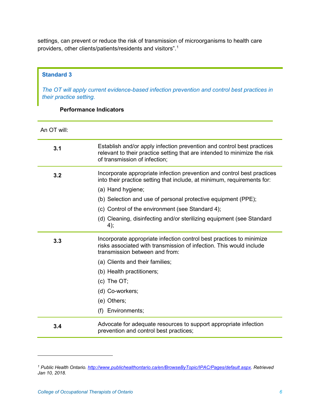settings, can prevent or reduce the risk of transmission of microorganisms to health care providers, other clients/patients/residents and visitors".[1](#page-5-0)

## **Standard 3**

*The OT will apply current evidence-based infection prevention and control best practices in their practice setting.* 

## **Performance Indicators**

An OT will:

| 3.1 | Establish and/or apply infection prevention and control best practices<br>relevant to their practice setting that are intended to minimize the risk<br>of transmission of infection; |
|-----|--------------------------------------------------------------------------------------------------------------------------------------------------------------------------------------|
| 3.2 | Incorporate appropriate infection prevention and control best practices<br>into their practice setting that include, at minimum, requirements for:                                   |
|     | (a) Hand hygiene;                                                                                                                                                                    |
|     | (b) Selection and use of personal protective equipment (PPE);                                                                                                                        |
|     | (c) Control of the environment (see Standard 4);                                                                                                                                     |
|     | (d) Cleaning, disinfecting and/or sterilizing equipment (see Standard<br>4);                                                                                                         |
| 3.3 | Incorporate appropriate infection control best practices to minimize<br>risks associated with transmission of infection. This would include<br>transmission between and from:        |
|     | (a) Clients and their families;                                                                                                                                                      |
|     | (b) Health practitioners;                                                                                                                                                            |
|     | $(c)$ The OT;                                                                                                                                                                        |
|     | (d) Co-workers;                                                                                                                                                                      |
|     | (e) Others;                                                                                                                                                                          |
|     | (f) Environments;                                                                                                                                                                    |
| 3.4 | Advocate for adequate resources to support appropriate infection<br>prevention and control best practices;                                                                           |

 $\ddot{\phantom{a}}$ 

<span id="page-5-0"></span>*<sup>1</sup> Public Health Ontario. [http://www.publichealthontario.ca/en/BrowseByTopic/IPAC/Pages/default.aspx.](http://www.publichealthontario.ca/en/BrowseByTopic/IPAC/Pages/default.aspx) Retrieved Jan 10, 2018.*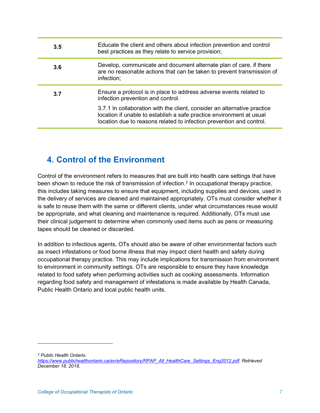| 3.5 | Educate the client and others about infection prevention and control<br>best practices as they relate to service provision;                                                                                              |
|-----|--------------------------------------------------------------------------------------------------------------------------------------------------------------------------------------------------------------------------|
| 3.6 | Develop, communicate and document alternate plan of care, if there<br>are no reasonable actions that can be taken to prevent transmission of<br>infection;                                                               |
| 3.7 | Ensure a protocol is in place to address adverse events related to<br>infection prevention and control.                                                                                                                  |
|     | 3.7.1 In collaboration with the client, consider an alternative practice<br>location if unable to establish a safe practice environment at usual<br>location due to reasons related to infection prevention and control. |

## **4. Control of the Environment**

Control of the environment refers to measures that are built into health care settings that have been shown to reduce the risk of transmission of infection.<sup>[2](#page-6-0)</sup> In occupational therapy practice, this includes taking measures to ensure that equipment, including supplies and devices, used in the delivery of services are cleaned and maintained appropriately. OTs must consider whether it is safe to reuse them with the same or different clients, under what circumstances reuse would be appropriate, and what cleaning and maintenance is required. Additionally, OTs must use their clinical judgement to determine when commonly used items such as pens or measuring tapes should be cleaned or discarded.

In addition to infectious agents, OTs should also be aware of other environmental factors such as insect infestations or food borne illness that may impact client health and safety during occupational therapy practice. This may include implications for transmission from environment to environment in community settings. OTs are responsible to ensure they have knowledge related to food safety when performing activities such as cooking assessments. Information regarding food safety and management of infestations is made available by Health Canada, Public Health Ontario and local public health units.

 $\overline{a}$ 

<span id="page-6-0"></span>*<sup>2</sup> Public Health Ontario.* 

*[https://www.publichealthontario.ca/en/eRepository/RPAP\\_All\\_HealthCare\\_Settings\\_Eng2012.pdf.](https://www.publichealthontario.ca/en/eRepository/RPAP_All_HealthCare_Settings_Eng2012.pdf) Retrieved December 18, 2018.*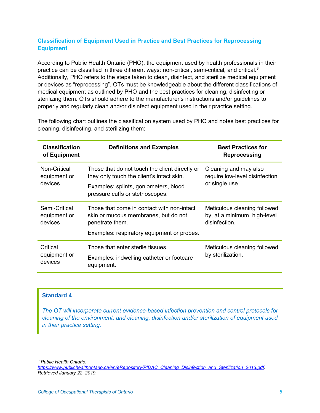## **Classification of Equipment Used in Practice and Best Practices for Reprocessing Equipment**

According to Public Health Ontario (PHO), the equipment used by health professionals in their practice can be classified in three different ways: non-critical, semi-critical, and critical.<sup>[3](#page-7-0)</sup> Additionally, PHO refers to the steps taken to clean, disinfect, and sterilize medical equipment or devices as "reprocessing". OTs must be knowledgeable about the different classifications of medical equipment as outlined by PHO and the best practices for cleaning, disinfecting or sterilizing them. OTs should adhere to the manufacturer's instructions and/or guidelines to properly and regularly clean and/or disinfect equipment used in their practice setting.

| <b>Classification</b><br>of Equipment    | <b>Definitions and Examples</b>                                                                                                                                         | <b>Best Practices for</b><br>Reprocessing                                     |
|------------------------------------------|-------------------------------------------------------------------------------------------------------------------------------------------------------------------------|-------------------------------------------------------------------------------|
| Non-Critical<br>equipment or<br>devices  | Those that do not touch the client directly or<br>they only touch the client's intact skin.<br>Examples: splints, goniometers, blood<br>pressure cuffs or stethoscopes. | Cleaning and may also<br>require low-level disinfection<br>or single use.     |
| Semi-Critical<br>equipment or<br>devices | Those that come in contact with non-intact<br>skin or mucous membranes, but do not<br>penetrate them.<br>Examples: respiratory equipment or probes.                     | Meticulous cleaning followed<br>by, at a minimum, high-level<br>disinfection. |
| Critical<br>equipment or<br>devices      | Those that enter sterile tissues.<br>Examples: indwelling catheter or footcare<br>equipment.                                                                            | Meticulous cleaning followed<br>by sterilization.                             |

The following chart outlines the classification system used by PHO and notes best practices for cleaning, disinfecting, and sterilizing them:

## **Standard 4**

*The OT will incorporate current evidence-based infection prevention and control protocols for cleaning of the environment, and cleaning, disinfection and/or sterilization of equipment used in their practice setting.*

<span id="page-7-0"></span>*<sup>3</sup> Public Health Ontario.* 

 $\ddot{\phantom{a}}$ 

*[https://www.publichealthontario.ca/en/eRepository/PIDAC\\_Cleaning\\_Disinfection\\_and\\_Sterilization\\_2013.pdf.](https://www.publichealthontario.ca/en/eRepository/PIDAC_Cleaning_Disinfection_and_Sterilization_2013.pdf)  Retrieved January 22, 2019.*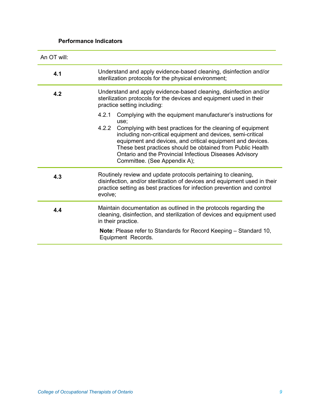## **Performance Indicators**

| An OT will: |                                                                                                                                                                                                                                                                                                                                                            |  |
|-------------|------------------------------------------------------------------------------------------------------------------------------------------------------------------------------------------------------------------------------------------------------------------------------------------------------------------------------------------------------------|--|
| 4.1         | Understand and apply evidence-based cleaning, disinfection and/or<br>sterilization protocols for the physical environment;                                                                                                                                                                                                                                 |  |
| 4.2         | Understand and apply evidence-based cleaning, disinfection and/or<br>sterilization protocols for the devices and equipment used in their<br>practice setting including:                                                                                                                                                                                    |  |
|             | 4.2.1<br>Complying with the equipment manufacturer's instructions for<br>use;                                                                                                                                                                                                                                                                              |  |
|             | 4.2.2<br>Complying with best practices for the cleaning of equipment<br>including non-critical equipment and devices, semi-critical<br>equipment and devices, and critical equipment and devices.<br>These best practices should be obtained from Public Health<br>Ontario and the Provincial Infectious Diseases Advisory<br>Committee. (See Appendix A); |  |
| 4.3         | Routinely review and update protocols pertaining to cleaning,<br>disinfection, and/or sterilization of devices and equipment used in their<br>practice setting as best practices for infection prevention and control<br>evolve;                                                                                                                           |  |
| 4.4         | Maintain documentation as outlined in the protocols regarding the<br>cleaning, disinfection, and sterilization of devices and equipment used<br>in their practice.                                                                                                                                                                                         |  |
|             | <b>Note:</b> Please refer to Standards for Record Keeping – Standard 10,<br>Equipment Records.                                                                                                                                                                                                                                                             |  |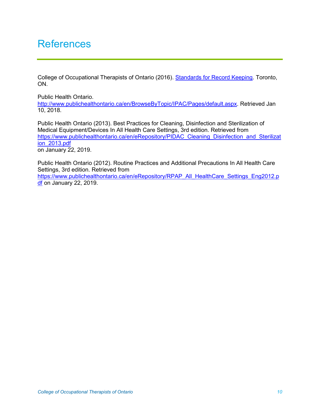# **References**

College of Occupational Therapists of Ontario (2016). [Standards for Record Keeping.](https://www.coto.org/resources/standards-for-record-keeping) Toronto, ON.

Public Health Ontario. [http://www.publichealthontario.ca/en/BrowseByTopic/IPAC/Pages/default.aspx.](http://www.publichealthontario.ca/en/BrowseByTopic/IPAC/Pages/default.aspx) Retrieved Jan 10, 2018.

Public Health Ontario (2013). Best Practices for Cleaning, Disinfection and Sterilization of Medical Equipment/Devices In All Health Care Settings, 3rd edition. Retrieved from [https://www.publichealthontario.ca/en/eRepository/PIDAC\\_Cleaning\\_Disinfection\\_and\\_Sterilizat](https://www.publichealthontario.ca/en/eRepository/PIDAC_Cleaning_Disinfection_and_Sterilization_2013.pdf) [ion\\_2013.pdf](https://www.publichealthontario.ca/en/eRepository/PIDAC_Cleaning_Disinfection_and_Sterilization_2013.pdf)  on January 22, 2019.

Public Health Ontario (2012). Routine Practices and Additional Precautions In All Health Care Settings, 3rd edition. Retrieved from [https://www.publichealthontario.ca/en/eRepository/RPAP\\_All\\_HealthCare\\_Settings\\_Eng2012.p](https://www.publichealthontario.ca/en/eRepository/RPAP_All_HealthCare_Settings_Eng2012.pdf) [df](https://www.publichealthontario.ca/en/eRepository/RPAP_All_HealthCare_Settings_Eng2012.pdf) on January 22, 2019.